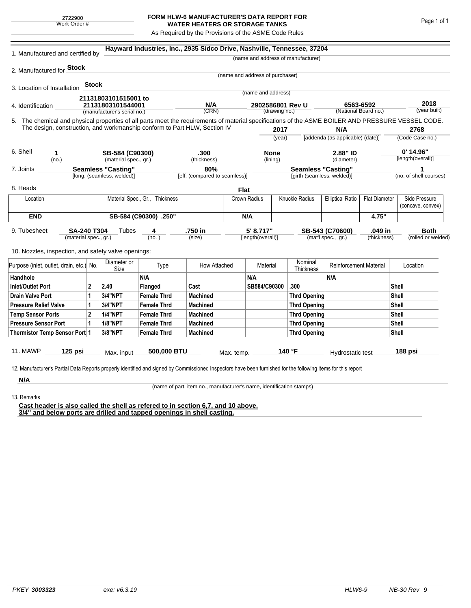## **FORM HLW-6 MANUFACTURER'S DATA REPORT FOR WATER HEATERS OR STORAGE TANKS**

As Required by the Provisions of the ASME Code Rules

| 1. Manufactured and certified by                                                                                                                                                                                                |                       |              |                            |                                | Hayward Industries, Inc., 2935 Sidco Drive, Nashville, Tennessee, 37204 |               |                                 |                           |                                                  |                               |                         |                      |                        |
|---------------------------------------------------------------------------------------------------------------------------------------------------------------------------------------------------------------------------------|-----------------------|--------------|----------------------------|--------------------------------|-------------------------------------------------------------------------|---------------|---------------------------------|---------------------------|--------------------------------------------------|-------------------------------|-------------------------|----------------------|------------------------|
|                                                                                                                                                                                                                                 |                       |              |                            |                                |                                                                         |               |                                 |                           | (name and address of manufacturer)               |                               |                         |                      |                        |
| 2. Manufactured for <b>Stock</b>                                                                                                                                                                                                |                       |              |                            |                                |                                                                         |               |                                 |                           |                                                  |                               |                         |                      |                        |
|                                                                                                                                                                                                                                 |                       |              |                            |                                |                                                                         |               | (name and address of purchaser) |                           |                                                  |                               |                         |                      |                        |
| 3. Location of Installation                                                                                                                                                                                                     |                       | <b>Stock</b> |                            |                                |                                                                         |               | (name and address)              |                           |                                                  |                               |                         |                      |                        |
|                                                                                                                                                                                                                                 |                       |              | 21131803101515001 to       |                                |                                                                         |               |                                 |                           |                                                  |                               |                         |                      |                        |
| 4. Identification                                                                                                                                                                                                               |                       |              | 21131803101544001          |                                | N/A                                                                     |               | 2902586801 Rev U                |                           |                                                  | 6563-6592                     |                         | 2018<br>(year built) |                        |
| (manufacturer's serial no.)                                                                                                                                                                                                     |                       |              |                            |                                | (CRN)                                                                   | (drawing no.) |                                 |                           | (National Board no.)                             |                               |                         |                      |                        |
| 5. The chemical and physical properties of all parts meet the requirements of material specifications of the ASME BOILER AND PRESSURE VESSEL CODE.<br>The design, construction, and workmanship conform to Part HLW, Section IV |                       |              |                            |                                |                                                                         |               |                                 |                           |                                                  |                               |                         |                      |                        |
|                                                                                                                                                                                                                                 |                       |              |                            |                                |                                                                         |               | 2017<br>(year)                  |                           | N/A<br>[addenda (as applicable) (date)]          |                               | 2768<br>(Code Case no.) |                      |                        |
|                                                                                                                                                                                                                                 |                       |              |                            |                                |                                                                         |               |                                 |                           |                                                  |                               |                         |                      |                        |
| 6. Shell<br>1                                                                                                                                                                                                                   |                       |              | SB-584 (C90300)            |                                | .300                                                                    |               | <b>None</b>                     |                           | 2.88" ID                                         |                               | $0'$ 14.96"             |                      |                        |
| (no.)                                                                                                                                                                                                                           |                       |              | (material spec., gr.)      |                                | (thickness)                                                             |               | (lining)                        |                           | (diameter)                                       |                               |                         |                      | [length(overall)]      |
| <b>Seamless "Casting"</b><br>7. Joints                                                                                                                                                                                          |                       |              |                            | 80%                            |                                                                         |               |                                 | <b>Seamless "Casting"</b> |                                                  |                               | 1                       |                      |                        |
|                                                                                                                                                                                                                                 |                       |              | [long. (seamless, welded)] |                                | [eff. (compared to seamless)]                                           |               |                                 |                           | [girth (seamless, welded)]                       |                               |                         |                      | (no. of shell courses) |
| 8. Heads                                                                                                                                                                                                                        |                       |              |                            |                                |                                                                         |               | Flat                            |                           |                                                  |                               |                         |                      |                        |
| Location                                                                                                                                                                                                                        |                       |              |                            | Material Spec., Gr., Thickness |                                                                         |               | Crown Radius                    |                           | <b>Knuckle Radius</b><br><b>Elliptical Ratio</b> |                               | <b>Flat Diameter</b>    |                      | Side Pressure          |
|                                                                                                                                                                                                                                 |                       |              |                            |                                |                                                                         |               |                                 |                           |                                                  |                               |                         |                      | (concave, convex)      |
| <b>END</b>                                                                                                                                                                                                                      | SB-584 (C90300) .250" |              |                            |                                |                                                                         |               | N/A                             |                           |                                                  |                               | 4.75"                   |                      |                        |
| 9. Tubesheet<br>SA-240 T304<br>(material spec., gr.)                                                                                                                                                                            |                       |              | Tubes                      | 4                              | .750 in                                                                 |               | 5' 8.717"                       |                           |                                                  | .049 in<br>SB-543 (C70600)    |                         |                      | <b>Both</b>            |
|                                                                                                                                                                                                                                 |                       |              | (no. )                     |                                | (size)                                                                  |               | [length(overall)]               |                           | (mat'l spec., gr.)<br>(thickness)                |                               | (rolled or welded)      |                      |                        |
| 10. Nozzles, inspection, and safety valve openings:                                                                                                                                                                             |                       |              |                            |                                |                                                                         |               |                                 |                           |                                                  |                               |                         |                      |                        |
|                                                                                                                                                                                                                                 |                       |              |                            |                                |                                                                         |               |                                 |                           |                                                  |                               |                         |                      |                        |
| Purpose (inlet, outlet, drain, etc.) No.                                                                                                                                                                                        |                       |              | Diameter or<br>Size        | Type                           | How Attached                                                            | Material      |                                 |                           | Nominal<br><b>Thickness</b>                      | <b>Reinforcement Material</b> |                         | Location             |                        |
| Handhole                                                                                                                                                                                                                        |                       |              |                            | N/A                            |                                                                         |               | N/A                             |                           |                                                  | N/A                           |                         |                      |                        |
| $\overline{2}$<br><b>Inlet/Outlet Port</b>                                                                                                                                                                                      |                       |              | 2.40                       | Flanged                        | Cast                                                                    |               | SB584/C90300                    |                           | .300                                             |                               |                         | Shell                |                        |
| <b>Drain Valve Port</b><br>1                                                                                                                                                                                                    |                       | 3/4"NPT      | <b>Female Thrd</b>         | <b>Machined</b>                |                                                                         |               |                                 | <b>Thrd Opening</b>       |                                                  |                               |                         | Shell                |                        |
| <b>Pressure Relief Valve</b><br>1                                                                                                                                                                                               |                       |              | 3/4"NPT                    | <b>Female Thrd</b>             | <b>Machined</b>                                                         |               |                                 | Thrd Opening              |                                                  |                               |                         | <b>Shell</b>         |                        |
| $\overline{2}$<br><b>Temp Sensor Ports</b>                                                                                                                                                                                      |                       |              | <b>1/4"NPT</b>             | <b>Female Thrd</b>             | <b>Machined</b>                                                         |               |                                 | Thrd Opening              |                                                  |                               | <b>Shell</b>            |                      |                        |
| <b>Pressure Sensor Port</b><br>1                                                                                                                                                                                                |                       |              | <b>1/8"NPT</b>             | <b>Female Thrd</b>             | <b>Machined</b>                                                         |               |                                 |                           | Thrd Opening                                     |                               |                         | <b>Shell</b>         |                        |
| Thermistor Temp Sensor Port 1                                                                                                                                                                                                   |                       |              | 3/8"NPT                    | <b>Female Thrd</b>             | <b>Machined</b>                                                         |               |                                 | <b>Thrd Opening</b>       |                                                  |                               |                         | Shell                |                        |
|                                                                                                                                                                                                                                 |                       |              |                            |                                |                                                                         |               |                                 |                           |                                                  |                               |                         |                      |                        |
| 11. MAWP                                                                                                                                                                                                                        | 125 psi               |              | Max. input                 | 500,000 BTU                    |                                                                         | Max. temp.    |                                 |                           | 140 °F                                           | Hydrostatic test              |                         |                      | 188 psi                |
|                                                                                                                                                                                                                                 |                       |              |                            |                                |                                                                         |               |                                 |                           |                                                  |                               |                         |                      |                        |
| 12. Manufacturer's Partial Data Reports properly identified and signed by Commissioned Inspectors have been furnished for the following items for this report                                                                   |                       |              |                            |                                |                                                                         |               |                                 |                           |                                                  |                               |                         |                      |                        |
| N/A                                                                                                                                                                                                                             |                       |              |                            |                                |                                                                         |               |                                 |                           |                                                  |                               |                         |                      |                        |

(name of part, item no., manufacturer's name, identification stamps)

13. Remarks

**Cast header is also called the shell as refered to in section 6,7, and 10 above. 3/4" and below ports are drilled and tapped openings in shell casting.**